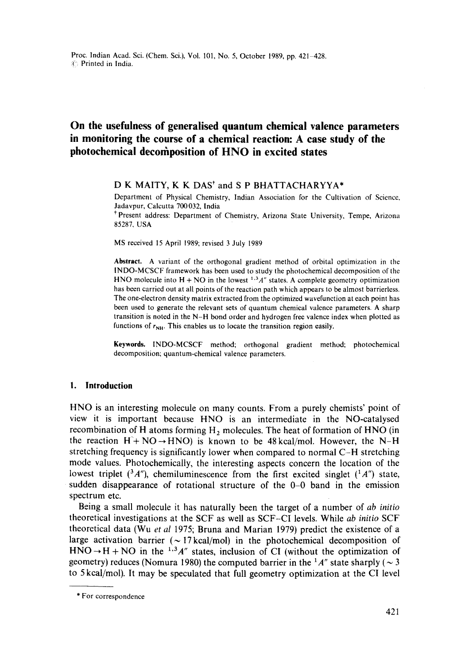# **On the usefulness of generalised quantum chemical valence parameters in monitoring the course of a chemical reaction: A case study of the photochemical decomposition of HNO in excited states**

# D K MAITY, K K DAS\* and S P BHATTACHARYYA\*

Department of Physical Chemistry, Indian Association for the Cultivation of Science, Jadavpur, Calcutta 700032, India

<sup>†</sup> Present address: Department of Chemistry, Arizona State University, Tempe, Arizona 85287, USA

MS received 15 April 1989; revised 3 July 1989

**Abstract.** A variant of the orthogonal gradient method of orbital optimization in the INDO-MCSCF framework has been used to study the photochemical decomposition of the HNO molecule into  $H + NO$  in the lowest  $^{1,3}A''$  states. A complete geometry optimization has been carried out at all points of the reaction path which appears to be almost barrierless. The one-electron density matrix extracted from the optimized wavefunction at each point has been used to generate the relevant sets of quantum chemical valence parameters. A sharp transition is noted in the N-H bond order and hydrogen free valence index when plotted as functions of  $r_{NH}$ . This enables us to locate the transition region easily.

**Keywords.** INDO-MCSCF method; orthogonal gradient method; photochemical decomposition; quantum-chemical valence parameters.

### **I. Introduction**

HNO is an interesting molecule on many counts. From a purely chemists' point of view it is important because HNO is an intermediate in the NO-catalysed recombination of H atoms forming  $H_2$  molecules. The heat of formation of HNO (in the reaction  $H + NO \rightarrow HNO$ ) is known to be 48 kcal/mol. However, the N-H stretching frequency is significantly lower when compared to normal C-H stretching mode values. Photochemically, the interesting aspects concern the location of the lowest triplet  $(3A'')$ , chemiluminescence from the first excited singlet  $(1A'')$  state, sudden disappearance of rotational structure of the 0-0 band in the emission spectrum etc.

Being a small molecule it has naturally been the target of a number of *ab initio*  theoretical investigations at the SCF as well as SCF-CI levels. While *ab initio* SCF theoretical data (Wu *et al* 1975; Bruna and Marian 1979) predict the existence of a large activation barrier ( $\sim$  17 kcal/mol) in the photochemical decomposition of  $HNO \rightarrow H + NO$  in the <sup>1,3</sup>A" states, inclusion of CI (without the optimization of geometry) reduces (Nomura 1980) the computed barrier in the  $1/A''$  state sharply ( $\sim$  3 to 5 kcal/mol). It may be speculated that full geometry optimization at the CI level

<sup>\*</sup> For correspondence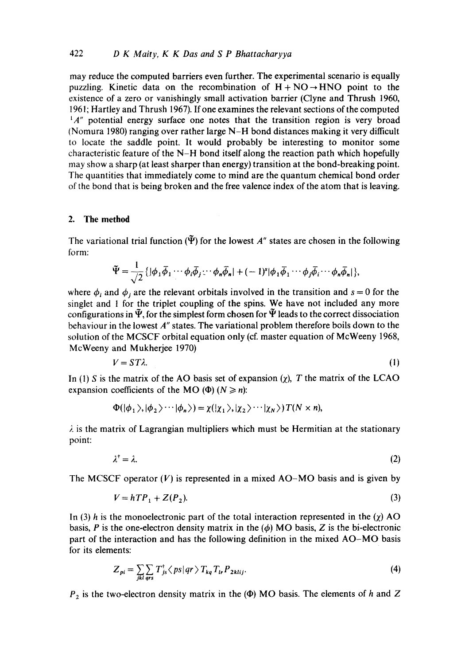may reduce the computed barriers even further. The experimental scenario is equally puzzling. Kinetic data on the recombination of  $H + NO \rightarrow HNO$  point to the existence of a zero or vanishingly small activation barrier (Clyne and Thrush 1960, 1961; Hartley and Thrush 1967). If one examines the relevant sections of the computed  $^{1}A''$  potential energy surface one notes that the transition region is very broad (Nomura 1980) ranging over rather large N-H bond distances making it very difficult to locate the saddle point. It would probably be interesting to monitor some characteristic feature of the N-H bond itself along the reaction path which hopefully may show a sharp (at least sharper than energy) transition at the bond-breaking point. The quantities that immediately come to mind are the quantum chemical bond order of the bond that is being broken and the free valence index of the atom that is leaving.

## **2. The method**

The variational trial function  $(\tilde{\Psi})$  for the lowest A'' states are chosen in the following form:

$$
\widetilde{\Psi} = \frac{1}{\sqrt{2}} \{ |\phi_1 \overline{\phi}_1 \cdots \phi_i \overline{\phi}_j \cdots \phi_n \overline{\phi}_n| + (-1)^s |\phi_1 \overline{\phi}_1 \cdots \phi_j \overline{\phi}_i \cdots \phi_n \overline{\phi}_n| \},\
$$

where  $\phi_i$  and  $\phi_j$  are the relevant orbitals involved in the transition and  $s = 0$  for the singlet and 1 for the triplet coupling of the spins. We have not included any more configurations in  $\tilde{\Psi}$ , for the simplest form chosen for  $\tilde{\Psi}$  leads to the correct dissociation behaviour in the lowest A" states. The variational problem therefore boils down to the solution of the MCSCF orbital equation only (cf. master equation of McWeeny 1968, McWeeny and Mukherjee 1970)

$$
V = ST\lambda. \tag{1}
$$

In (1) S is the matrix of the AO basis set of expansion  $(\chi)$ , T the matrix of the LCAO expansion coefficients of the MO ( $\Phi$ ) ( $N \ge n$ ):

$$
\Phi(|\phi_1\rangle,|\phi_2\rangle\cdots|\phi_n\rangle)=\chi(|\chi_1\rangle,|\chi_2\rangle\cdots|\chi_N\rangle)T(N\times n),
$$

 $\lambda$  is the matrix of Lagrangian multipliers which must be Hermitian at the stationary point:

$$
\lambda^{\dagger} = \lambda. \tag{2}
$$

The MCSCF operator  $(V)$  is represented in a mixed AO-MO basis and is given by

$$
V = hTP_1 + Z(P_2). \tag{3}
$$

In (3) h is the monoelectronic part of the total interaction represented in the  $(\chi)$  AO basis, P is the one-electron density matrix in the  $(\phi)$  MO basis, Z is the bi-electronic part of the interaction and has the following definition in the mixed AO-MO basis for its elements:

$$
Z_{pi} = \sum_{jkl} \sum_{qrs} T_{js}^{\dagger} \langle ps|qr \rangle T_{kq} T_{lr} P_{2klij}.
$$
 (4)

 $P_2$  is the two-electron density matrix in the ( $\Phi$ ) MO basis. The elements of h and Z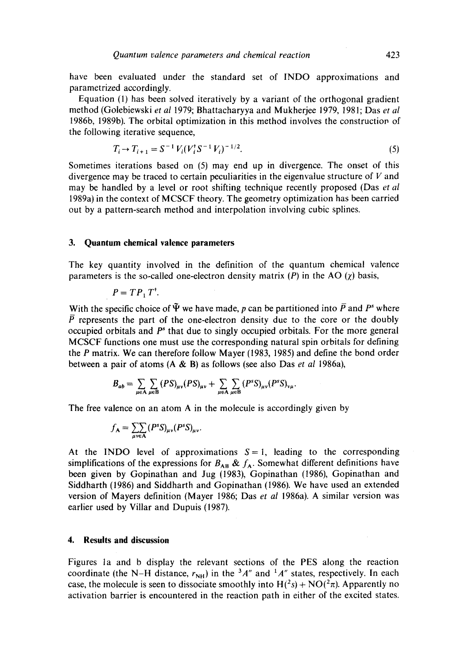have been evaluated under the standard set of INDO approximations and parametrized accordingly.

Equation (1) has been solved iteratively by a variant of the orthogonal gradient method (Golebiewski *et al* 1979; Bhattacharyya and Mukherjee 1979, 1981; Das *et al*  1986b, 1989b). The orbital optimization in this method involves the constructiop of the following iterative sequence,

$$
T_i \to T_{i+1} = S^{-1} V_i (V_i^{\dagger} S^{-1} V_i)^{-1/2}.
$$
\n(5)

Sometimes iterations based on (5) may end up in divergence. The onset of this divergence may be traced to certain peculiarities in the eigenvalue structure of  $V$  and may be handled by a level or root shifting technique recently proposed (Das *et al*  1989a) in the context of MCSCF theory. The geometry optimization has been carried out by a pattern-search method and interpolation involving cubic splines.

## **3. Quantum chemical valence parameters**

The key quantity involved in the definition of the quantum chemical valence parameters is the so-called one-electron density matrix (P) in the AO  $(\chi)$  basis,

$$
P=TP_1T^{\dagger}.
$$

With the specific choice of  $\tilde{\Psi}$  we have made, p can be partitioned into  $\overline{P}$  and  $P^s$  where  $\overline{P}$  represents the part of the one-electron density due to the core or the doubly occupied orbitals and  $P^s$  that due to singly occupied orbitals. For the more general MCSCF functions one must use the corresponding natural spin orbitals for defining the P matrix. We can therefore follow Mayer (1983, 1985) and define the bond order between a pair of atoms (A & B) as follows (see also Das *et al* 1986a),

$$
B_{ab} = \sum_{\mu \in A} \sum_{\mu \in B} (PS)_{\mu\nu} (PS)_{\mu\nu} + \sum_{\mu \in A} \sum_{\mu \in B} (P^s S)_{\mu\nu} (P^s S)_{\nu\mu}.
$$

The free valence on an atom A in the molecule is accordingly given by

$$
f_{\mathbf{A}} = \sum_{\mu v \in \mathbf{A}} (P^s S)_{\mu v} (P^s S)_{\mu v}.
$$

At the INDO level of approximations  $S = 1$ , leading to the corresponding simplifications of the expressions for  $B_{AB}$  &  $f_A$ . Somewhat different definitions have been given by Gopinathan and Jug (1983), Gopinathan (1986), Gopinathan and Siddharth (1986) and Siddharth and Gopinathan (1986). We have used an extended version of Mayers definition (Mayer 1986; Das *et al* 1986a). A similar version was earlier used by Villar and Dupuis (1987).

## **4. Results and discussion**

Figures 1a and b display the relevant sections of the PES along the reaction coordinate (the N-H distance,  $r_{NH}$ ) in the <sup>3</sup>A" and <sup>1</sup>A" states, respectively. In each case, the molecule is seen to dissociate smoothly into  $H(^{2}s) + NO(^{2}\pi)$ . Apparently no activation barrier is encountered in the reaction path in either of the excited states.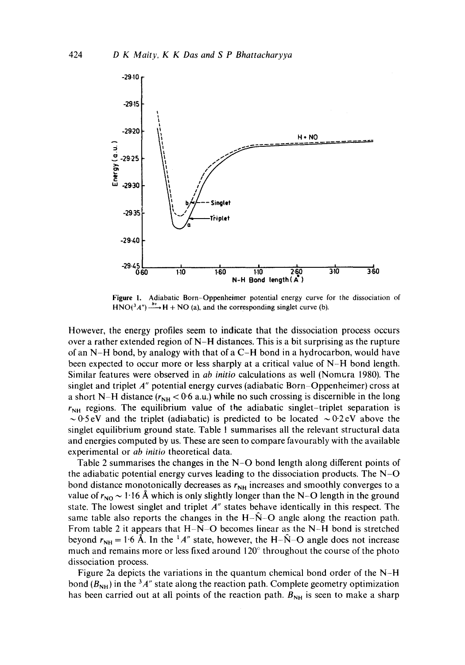

**Figure** i. Adiabatic Born-Oppenheimer potential energy curve for the dissociation of  $HNO(^3A") \xrightarrow{hv} H + NO$  (a), and the corresponding singlet curve (b).

However, the energy profiles seem to indicate that the dissociation process occurs over a rather extended region of N-H distances. This is a bit surprising as the rupture of an N-H bond, by analogy with that ofa C-H bond in a hydrocarbon, would have been expected to occur more or less sharply at a critical value of N-H bond length. Similar features were observed in *ab initio* calculations as well (Nomura 1980). The singlet and triplet  $A''$  potential energy curves (adiabatic Born-Oppenheimer) cross at a short N-H distance  $(r_{NH} < 0.6$  a.u.) while no such crossing is discernible in the long  $r_{NH}$  regions. The equilibrium value of the adiabatic singlet-triplet separation is  $\sim 0.5$ eV and the triplet (adiabatic) is predicted to be located  $\sim 0.2$ eV above the singlet equilibrium ground state. Table I summarises all the relevant structural data and energies computed by us. These are seen to compare favourably with the available experimental or *ab initio* theoretical data.

Table 2 summarises the changes in the  $N-O$  bond length along different points of the adiabatic potential energy curves leading to the dissociation products. The N-O bond distance monotonically decreases as  $r_{NH}$  increases and smoothly converges to a value of  $r_{NQ} \sim 1.16$  Å which is only slightly longer than the N-O length in the ground state. The lowest singlet and triplet  $A''$  states behave identically in this respect. The same table also reports the changes in the H- $\hat{N}$ -O angle along the reaction path. From table 2 it appears that  $H-N-O$  becomes linear as the N-H bond is stretched beyond  $r_{\text{NH}} = 1.6$  Å. In the  $^{1}A''$  state, however, the H- $\hat{N}$ -O angle does not increase much and remains more or less fixed around  $120^{\circ}$  throughout the course of the photo dissociation process.

Figure 2a depicts the variations in the quantum chemical bond order of the N-H bond  $(B_{NH})$  in the <sup>3</sup>A" state along the reaction path. Complete geometry optimization has been carried out at all points of the reaction path.  $B_{NH}$  is seen to make a sharp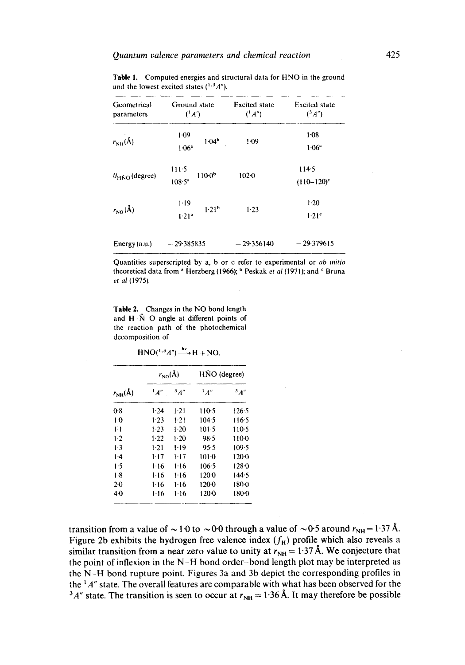| Geometrical<br>parameters                        | Ground state<br>$(^1A')$                           | <b>Excited</b> state<br>$(^1A'')$ | <b>Excited state</b><br>$(^3A'')$<br>$1 - 08$<br>1.06 <sup>c</sup> |
|--------------------------------------------------|----------------------------------------------------|-----------------------------------|--------------------------------------------------------------------|
| $r_{\text{NH}}(\text{\AA})$                      | 1.09<br>1.04 <sup>b</sup><br>1.06 <sup>a</sup>     | 1.09                              |                                                                    |
| $\theta_{\text{H}\hat{\text{N}}\Omega}$ (degree) | $111-5$<br>$110-0b$<br>$108.5^{\circ}$             | $102 - 0$                         | 114.5<br>$(110-120)^c$                                             |
| $r_{\rm NO}({\rm \AA})$                          | $1 - 19$<br>1.21 <sup>b</sup><br>1.21 <sup>a</sup> | 1.23                              | $1-20$<br>1.21 <sup>c</sup>                                        |
| Energy (a.u.)                                    | $-29.385835$                                       | $-29356140$                       | $-29.379615$                                                       |

Table I. Computed energies and structural data for HNO in the ground and the lowest excited states  $(^{1,3}A'')$ .

Quantities superscripted by a, b or c refer to experimental or *ab initio*  theoretical data from <sup>a</sup> Herzberg (1966); <sup>b</sup> Peskak *et al* (1971); and <sup>c</sup> Bruna *et al* (1975).

Table 2. Changes in the NO bond length and  $H-\hat{N}-O$  angle at different points of the reaction path of the photochemical decomposition of

 $HNO(^{1.3}A'') \longrightarrow H + NO$ .

| $r_{NH}(\text{\AA})$ | $r_{\rm NO}({\rm \AA})$ |          | HÑO (degree) |           |
|----------------------|-------------------------|----------|--------------|-----------|
|                      | $^1$ A"                 | 3A''     | $^1$ A"      | 3A''      |
| 0.8                  | $1-24$                  | $1-21$   | 110-5        | 126.5     |
| $1-0$                | 1.23                    | 1.21     | 104.5        | 116.5     |
| 11                   | 1.23                    | $1-20$   | 101.5        | $110-5$   |
| $1-2$                | 1.22                    | 120      | 98.5         | 1100      |
| ۱۰3                  | 1.21                    | 1.19     | 95.5         | 109.5     |
| $1-4$                | 1-17                    | 1-17     | $101-0$      | 1200      |
| 1.5                  | $1-16$                  | $1 - 16$ | $106-5$      | $128 - 0$ |
| 1.8                  | $1-16$                  | $1 - 16$ | 120.0        | 144.5     |
| $2-0$                | 1-16                    | $1 - 16$ | 120.0        | 180 0     |
| 4·0                  | $1 - 16$                | 1.16     | 1200         | 180-0     |

transition from a value of  $\sim 1.0$  to  $\sim 0.0$  through a value of  $\sim 0.5$  around  $r_{\text{NH}} = 1.37 \text{ Å}$ . Figure 2b exhibits the hydrogen free valence index  $(f_H)$  profile which also reveals a similar transition from a near zero value to unity at  $r_{NH} = 1.37 \text{ Å}$ . We conjecture that the point of inflexion in the N-H bond order-bond length plot may be interpreted as the N-H bond rupture point. Figures 3a and 3b depict the corresponding profiles in the  $1/4$ " state. The overall features are comparable with what has been observed for the <sup>3</sup>A" state. The transition is seen to occur at  $r_{NH} = 1.36$  Å. It may therefore be possible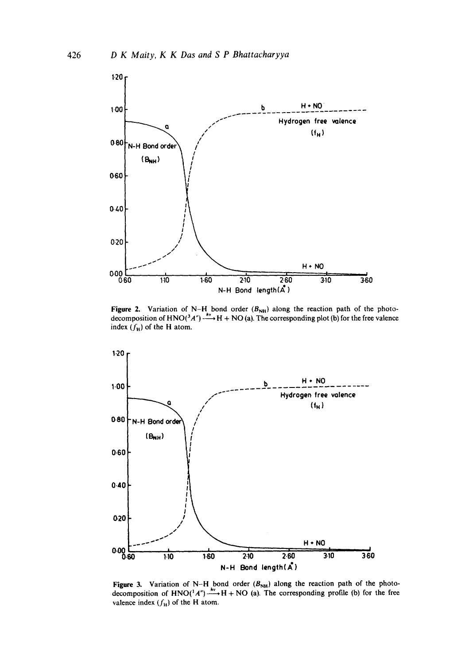

**Figure 2.** Variation of N–H bond order  $(B_{NH})$  along the reaction path of the photo-<br>decomposition of HNO(<sup>3</sup>A'')  $\frac{hv}{v}$  H + NO (a). The corresponding plot (b) for the free valence index  $(f<sub>H</sub>)$  of the H atom.



Figure 3. Variation of N-H bond order  $(B_{NH})$  along the reaction path of the photodecomposition of  $HNO(^{1}A^{\prime})$ - $\rightarrow H + NO$  (a). The corresponding profile (b) for the free valence index  $(f<sub>H</sub>)$  of the H atom.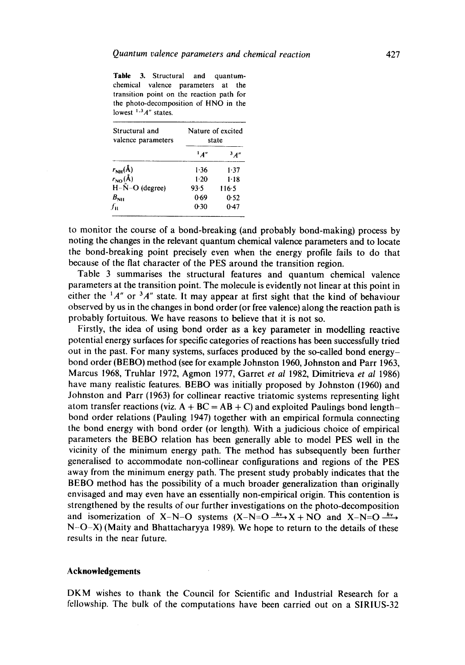**Table** 3. Structural and quantumchemical valence parameters at the transition point on the reaction path for the photo-decomposition of HNO in the lowest <sup>1,3</sup>A" states.

| Structural and<br>valence parameters |         | Nature of excited<br>state |  |
|--------------------------------------|---------|----------------------------|--|
|                                      | $^1$ A" | 3A''                       |  |
| $r_{\rm NH}(\rm \AA)$                | 1.36    | $1 - 37$                   |  |
| $r_{\rm NO}(\AA)$                    | $1-20$  | $1 - 18$                   |  |
| $H-\hat{N}-O$ (degree)               | 93.5    | $116-5$                    |  |
| $B_{\rm NH}$                         | 0.69    | 0.52                       |  |
| fn.                                  | 0.30    | 0.47                       |  |

to monitor the course of a bond-breaking (and probably bond-making) process by noting the changes in the relevant quantum chemical valence parameters and to locate the bond-breaking point precisely even when the energy profile fails to do that because of the fiat character of the PES around the transition region.

Table 3 summarises the structural features and quantum chemical valence parameters at the transition point. The molecule is evidently not linear at this point in either the  $1/4''$  or  $3/4''$  state. It may appear at first sight that the kind of behaviour observed by us in the changes in bond order (or free valence) along the reaction path is probably fortuitous. We have reasons to believe that it is not so.

Firstly, the idea of using bond order as a key parameter in modelling reactive potential energy surfaces for specific categories of reactions has been successfully tried out in the past. For many systems, surfaces produced by the so-called bond energybond order (BEBO) method (see for example Johnston 1960, Johnston and Parr 1963, Marcus 1968, Truhlar 1972, Agmon 1977, Garret *et al* 1982, Dimitrieva *et al* 1986) have many realistic features. BEBO was initially proposed by Johnston (1960) and Johnston and Parr (1963) for collinear reactive triatomic systems representing light atom transfer reactions (viz.  $A + BC = AB + C$ ) and exploited Paulings bond lengthbond order relations (Pauling 1947) together with an empirical formula connecting the bond energy with bond order (or length). With a judicious choice of empirical parameters the BEBO relation has been generally able to model PES well in the vicinity of the minimum energy path. The method has subsequently been further generalised to accommodate non-collinear configurations and regions of the PES away from the minimum energy path. The present study probably indicates that the BEBO method has the possibility of a much broader generalization than originally envisaged and may even have an essentially non-empirical origin. This contention is strengthened by the results of our further investigations on the photo-decomposition and isomerization of X-N-O systems  $(X-N=O \xrightarrow{hv} X + NO$  and  $X-N=O \xrightarrow{hv}$  $N-O-X$ ) (Maity and Bhattacharyya 1989). We hope to return to the details of these results in the near future.

## **Acknowledgements**

DKM wishes to thank the Council for Scientific and Industrial Research for a fellowship. The bulk of the computations have been carried out on a SIRIUS-32